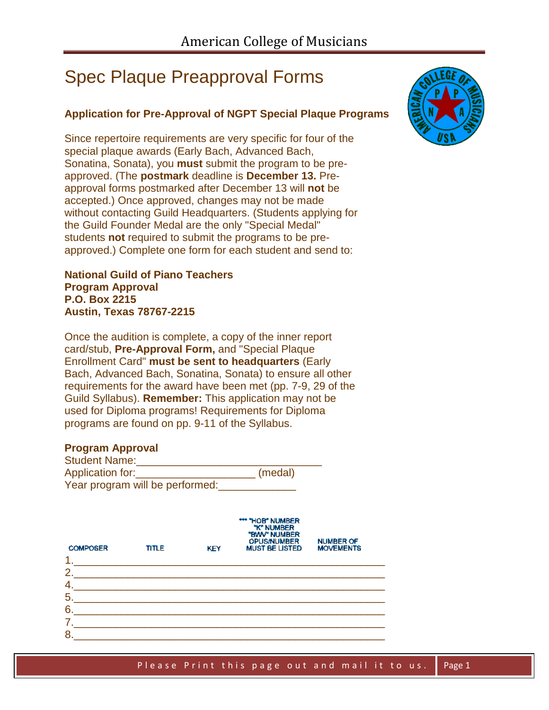## Spec Plaque Preapproval Forms

## **Application for Pre-Approval of NGPT Special Plaque Programs**

Since repertoire requirements are very specific for four of the special plaque awards (Early Bach, Advanced Bach, Sonatina, Sonata), you **must** submit the program to be preapproved. (The **postmark** deadline is **December 13.** Preapproval forms postmarked after December 13 will **not** be accepted.) Once approved, changes may not be made without contacting Guild Headquarters. (Students applying for the Guild Founder Medal are the only "Special Medal" students **not** required to submit the programs to be preapproved.) Complete one form for each student and send to:

**National Guild of Piano Teachers Program Approval P.O. Box 2215 Austin, Texas 78767-2215**

Once the audition is complete, a copy of the inner report card/stub, **Pre-Approval Form,** and "Special Plaque Enrollment Card" **must be sent to headquarters** (Early Bach, Advanced Bach, Sonatina, Sonata) to ensure all other requirements for the award have been met (pp. 7-9, 29 of the Guild Syllabus). **Remember:** This application may not be used for Diploma programs! Requirements for Diploma programs are found on pp. 9-11 of the Syllabus.

## **Program Approval**

| <b>Student Name:</b>            |         |
|---------------------------------|---------|
| Application for:                | (medal) |
| Year program will be performed: |         |

| TITLE | <b>KEY</b> | *** "HOB" NUMBER<br>"K" NUMBER<br>"BWW" NUMBER<br><b>OPUS/NUMBER</b><br><b>MUST BE LISTED</b> | <b>NUMBER OF</b><br><b>MOVEMENTS</b> |  |
|-------|------------|-----------------------------------------------------------------------------------------------|--------------------------------------|--|
|       |            |                                                                                               |                                      |  |
|       |            |                                                                                               |                                      |  |
|       |            |                                                                                               |                                      |  |
|       |            |                                                                                               |                                      |  |
|       |            |                                                                                               |                                      |  |
|       |            |                                                                                               |                                      |  |
|       |            | <u> 1980 - Jan Samuel Barbara, martin d</u>                                                   |                                      |  |